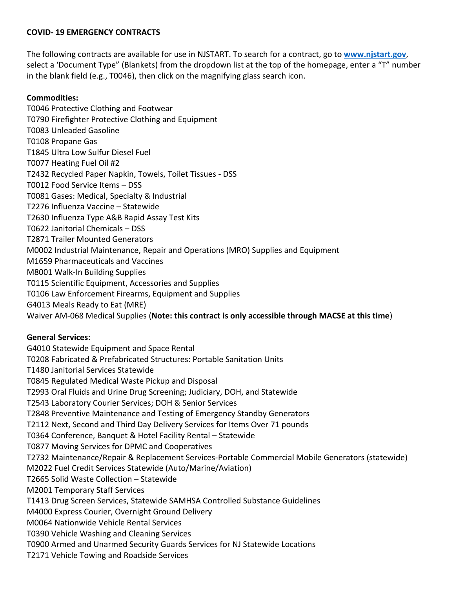## **COVID- 19 EMERGENCY CONTRACTS**

The following contracts are available for use in NJSTART. To search for a contract, go to **[www.njstart.gov](http://www.njstart.gov/)**, select a 'Document Type" (Blankets) from the dropdown list at the top of the homepage, enter a "T" number in the blank field (e.g., T0046), then click on the magnifying glass search icon.

## **Commodities:**

T0046 Protective Clothing and Footwear T0790 Firefighter Protective Clothing and Equipment T0083 Unleaded Gasoline T0108 Propane Gas T1845 Ultra Low Sulfur Diesel Fuel T0077 Heating Fuel Oil #2 T2432 Recycled Paper Napkin, Towels, Toilet Tissues - DSS T0012 Food Service Items – DSS T0081 Gases: Medical, Specialty & Industrial T2276 Influenza Vaccine – Statewide T2630 Influenza Type A&B Rapid Assay Test Kits T0622 Janitorial Chemicals – DSS T2871 Trailer Mounted Generators M0002 Industrial Maintenance, Repair and Operations (MRO) Supplies and Equipment M1659 Pharmaceuticals and Vaccines M8001 Walk-In Building Supplies T0115 Scientific Equipment, Accessories and Supplies T0106 Law Enforcement Firearms, Equipment and Supplies G4013 Meals Ready to Eat (MRE) Waiver AM-068 Medical Supplies (**Note: this contract is only accessible through MACSE at this time**)

## **General Services:**

G4010 Statewide Equipment and Space Rental T0208 Fabricated & Prefabricated Structures: Portable Sanitation Units T1480 Janitorial Services Statewide T0845 Regulated Medical Waste Pickup and Disposal T2993 Oral Fluids and Urine Drug Screening; Judiciary, DOH, and Statewide T2543 Laboratory Courier Services; DOH & Senior Services T2848 Preventive Maintenance and Testing of Emergency Standby Generators T2112 Next, Second and Third Day Delivery Services for Items Over 71 pounds T0364 Conference, Banquet & Hotel Facility Rental – Statewide T0877 Moving Services for DPMC and Cooperatives T2732 Maintenance/Repair & Replacement Services-Portable Commercial Mobile Generators (statewide) M2022 Fuel Credit Services Statewide (Auto/Marine/Aviation) T2665 Solid Waste Collection – Statewide M2001 Temporary Staff Services T1413 Drug Screen Services, Statewide SAMHSA Controlled Substance Guidelines M4000 Express Courier, Overnight Ground Delivery M0064 Nationwide Vehicle Rental Services T0390 Vehicle Washing and Cleaning Services T0900 Armed and Unarmed Security Guards Services for NJ Statewide Locations T2171 Vehicle Towing and Roadside Services